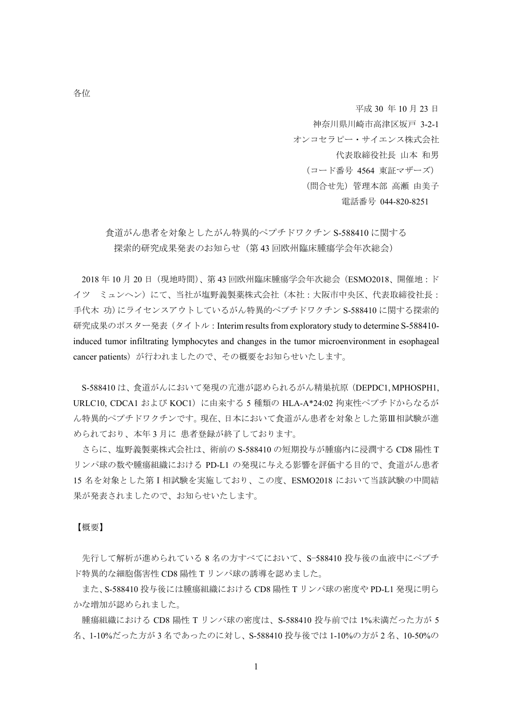平成 30 年 10 月 23 日

神奈川県川崎市高津区坂戸 3-2-1 オンコセラピー・サイエンス株式会社 代表取締役社長 山本 和男 (コード番号 4564 東証マザーズ) (問合せ先)管理本部 高瀬 由美子

電話番号 044-820-8251

食道がん患者を対象としたがん特異的ペプチドワクチン S-588410 に関する 探索的研究成果発表のお知らせ(第 43 回欧州臨床腫瘍学会年次総会)

2018 年 10 月 20 日(現地時間)、第 43 回欧州臨床腫瘍学会年次総会(ESMO2018、開催地:ド イツ ミュンヘン)にて、当社が塩野義製薬株式会社(本社:大阪市中央区、代表取締役社長: 手代木 功)にライセンスアウトしているがん特異的ペプチドワクチン S-588410 に関する探索的 研究成果のポスター発表(タイトル: Interim results from exploratory study to determine S-588410induced tumor infiltrating lymphocytes and changes in the tumor microenvironment in esophageal cancer patients)が行われましたので、その概要をお知らせいたします。

S-588410 は、食道がんにおいて発現の亢進が認められるがん精巣抗原(DEPDC1, MPHOSPH1, URLC10, CDCA1 および KOC1)に由来する 5 種類の HLA-A\*24:02 拘束性ペプチドからなるが ん特異的ペプチドワクチンです。現在、日本において食道がん患者を対象とした第Ⅲ相試験が進 められており、本年 3 月に 患者登録が終了しております。

さらに、塩野義製薬株式会社は、術前の S-588410 の短期投与が腫瘍内に浸潤する CD8 陽性 T リンパ球の数や腫瘍組織における PD-L1 の発現に与える影響を評価する目的で、食道がん患者 15 名を対象とした第Ⅰ相試験を実施しており、この度、ESMO2018 において当該試験の中間結 果が発表されましたので、お知らせいたします。

【概要】

先行して解析が進められている 8 名の方すべてにおいて、S−588410 投与後の血液中にペプチ ド特異的な細胞傷害性 CD8 陽性 T リンパ球の誘導を認めました。

また、S-588410 投与後には腫瘍組織における CD8 陽性 T リンパ球の密度や PD-L1 発現に明ら かな増加が認められました。

腫瘍組織における CD8 陽性 T リンパ球の密度は、S-588410 投与前では 1%未満だった方が 5 名、1-10%だった方が 3 名であったのに対し、S-588410 投与後では 1-10%の方が 2 名、10-50%の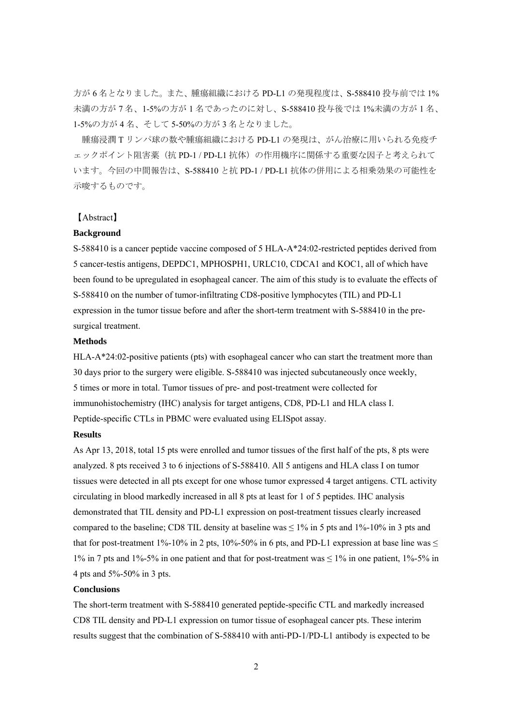方が 6 名となりました。また、腫瘍組織における PD-L1 の発現程度は、S-588410 投与前では 1% 未満の方が 7 名、1-5%の方が 1 名であったのに対し、S-588410 投与後では 1%未満の方が 1 名、 1-5%の方が 4 名、そして 5-50%の方が 3 名となりました。

 腫瘍浸潤 T リンパ球の数や腫瘍組織における PD-L1 の発現は、がん治療に用いられる免疫チ ェックポイント阻害薬(抗 PD-1 / PD-L1 抗体)の作用機序に関係する重要な因子と考えられて います。今回の中間報告は、S-588410 と抗 PD-1 / PD-L1 抗体の併用による相乗効果の可能性を 示唆するものです。

# 【Abstract】

## **Background**

S-588410 is a cancer peptide vaccine composed of 5 HLA-A\*24:02-restricted peptides derived from 5 cancer-testis antigens, DEPDC1, MPHOSPH1, URLC10, CDCA1 and KOC1, all of which have been found to be upregulated in esophageal cancer. The aim of this study is to evaluate the effects of S-588410 on the number of tumor-infiltrating CD8-positive lymphocytes (TIL) and PD-L1 expression in the tumor tissue before and after the short-term treatment with S-588410 in the presurgical treatment.

### **Methods**

HLA-A\*24:02-positive patients (pts) with esophageal cancer who can start the treatment more than 30 days prior to the surgery were eligible. S-588410 was injected subcutaneously once weekly, 5 times or more in total. Tumor tissues of pre- and post-treatment were collected for immunohistochemistry (IHC) analysis for target antigens, CD8, PD-L1 and HLA class I. Peptide-specific CTLs in PBMC were evaluated using ELISpot assay.

#### **Results**

As Apr 13, 2018, total 15 pts were enrolled and tumor tissues of the first half of the pts, 8 pts were analyzed. 8 pts received 3 to 6 injections of S-588410. All 5 antigens and HLA class I on tumor tissues were detected in all pts except for one whose tumor expressed 4 target antigens. CTL activity circulating in blood markedly increased in all 8 pts at least for 1 of 5 peptides. IHC analysis demonstrated that TIL density and PD-L1 expression on post-treatment tissues clearly increased compared to the baseline; CD8 TIL density at baseline was  $\leq 1\%$  in 5 pts and 1%-10% in 3 pts and that for post-treatment 1%-10% in 2 pts, 10%-50% in 6 pts, and PD-L1 expression at base line was  $\leq$ 1% in 7 pts and 1%-5% in one patient and that for post-treatment was  $\leq$  1% in one patient, 1%-5% in 4 pts and 5%-50% in 3 pts.

### **Conclusions**

The short-term treatment with S-588410 generated peptide-specific CTL and markedly increased CD8 TIL density and PD-L1 expression on tumor tissue of esophageal cancer pts. These interim results suggest that the combination of S-588410 with anti-PD-1/PD-L1 antibody is expected to be